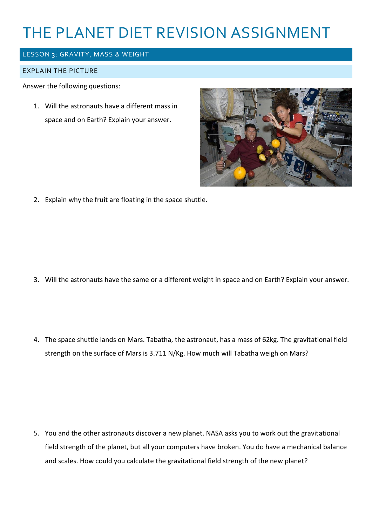# THE PLANET DIET REVISION ASSIGNMENT

## LESSON 3: GRAVITY, MASS & WEIGHT

#### EXPLAIN THE PICTURE

Answer the following questions:

1. Will the astronauts have a different mass in space and on Earth? Explain your answer.



2. Explain why the fruit are floating in the space shuttle.

- 3. Will the astronauts have the same or a different weight in space and on Earth? Explain your answer.
- 4. The space shuttle lands on Mars. Tabatha, the astronaut, has a mass of 62kg. The gravitational field strength on the surface of Mars is 3.711 N/Kg. How much will Tabatha weigh on Mars?

5. You and the other astronauts discover a new planet. NASA asks you to work out the gravitational field strength of the planet, but all your computers have broken. You do have a mechanical balance and scales. How could you calculate the gravitational field strength of the new planet?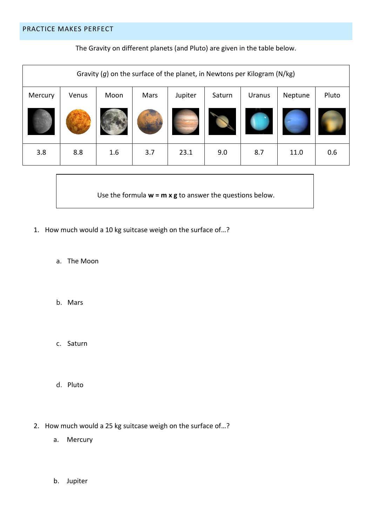The Gravity on different planets (and Pluto) are given in the table below.

| Gravity $(g)$ on the surface of the planet, in Newtons per Kilogram (N/kg) |       |      |      |         |        |        |         |       |
|----------------------------------------------------------------------------|-------|------|------|---------|--------|--------|---------|-------|
| Mercury                                                                    | Venus | Moon | Mars | Jupiter | Saturn | Uranus | Neptune | Pluto |
|                                                                            |       |      |      |         |        |        |         |       |
| 3.8                                                                        | 8.8   | 1.6  | 3.7  | 23.1    | 9.0    | 8.7    | 11.0    | 0.6   |

Use the formula **w = m x g** to answer the questions below.

- 1. How much would a 10 kg suitcase weigh on the surface of…?
	- a. The Moon
	- b. Mars
	- c. Saturn
	- d. Pluto
- 2. How much would a 25 kg suitcase weigh on the surface of…?
	- a. Mercury
	- b. Jupiter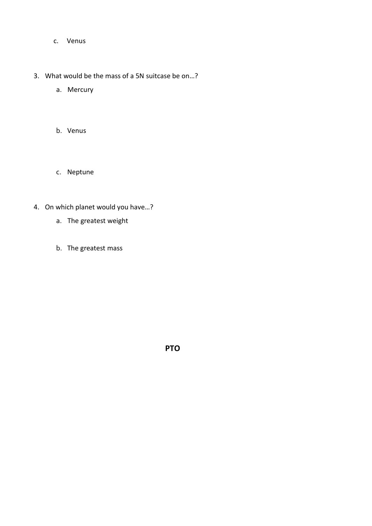- c. Venus
- 3. What would be the mass of a 5N suitcase be on…?
	- a. Mercury
	- b. Venus
	- c. Neptune
- 4. On which planet would you have…?
	- a. The greatest weight
	- b. The greatest mass

**PTO**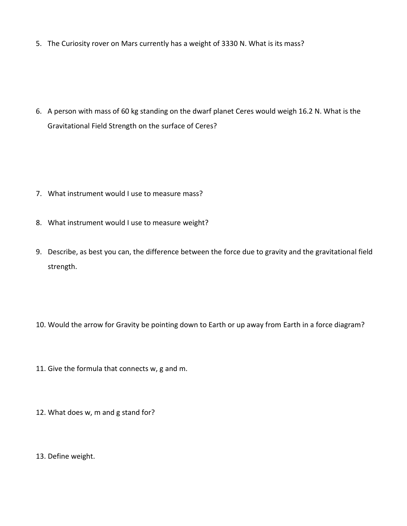5. The Curiosity rover on Mars currently has a weight of 3330 N. What is its mass?

6. A person with mass of 60 kg standing on the dwarf planet Ceres would weigh 16.2 N. What is the Gravitational Field Strength on the surface of Ceres?

- 7. What instrument would I use to measure mass?
- 8. What instrument would I use to measure weight?
- 9. Describe, as best you can, the difference between the force due to gravity and the gravitational field strength.
- 10. Would the arrow for Gravity be pointing down to Earth or up away from Earth in a force diagram?
- 11. Give the formula that connects w, g and m.
- 12. What does w, m and g stand for?
- 13. Define weight.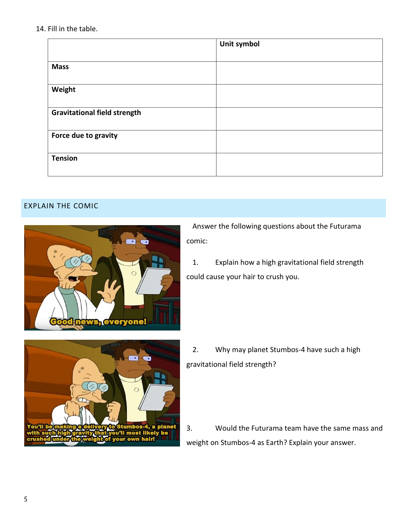#### 14. Fill in the table.

|                                     | Unit symbol |
|-------------------------------------|-------------|
|                                     |             |
| <b>Mass</b>                         |             |
|                                     |             |
| Weight                              |             |
|                                     |             |
| <b>Gravitational field strength</b> |             |
|                                     |             |
| Force due to gravity                |             |
|                                     |             |
| <b>Tension</b>                      |             |
|                                     |             |

### EXPLAIN THE COMIC



Answer the following questions about the Futurama comic:

1. Explain how a high gravitational field strength could cause your hair to crush you.



2. Why may planet Stumbos-4 have such a high gravitational field strength?

3. Would the Futurama team have the same mass and weight on Stumbos-4 as Earth? Explain your answer.